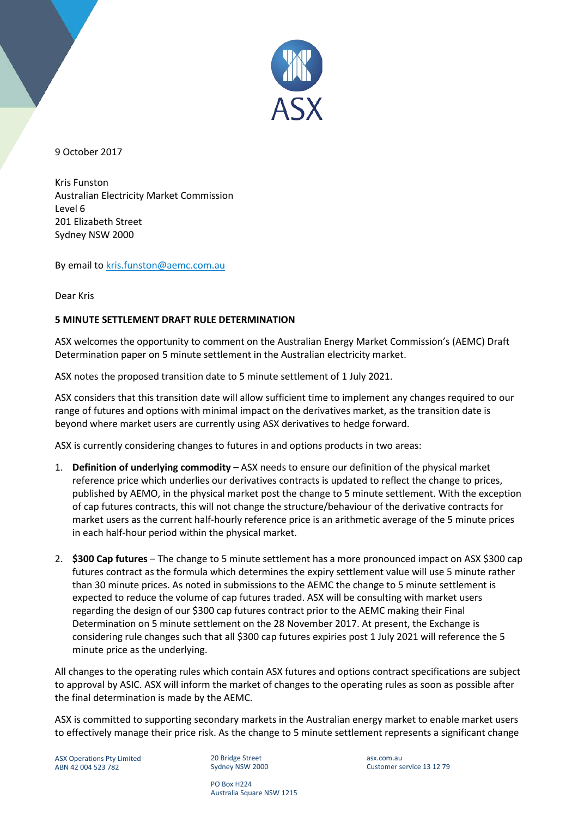

9 October 2017

Kris Funston Australian Electricity Market Commission Level 6 201 Elizabeth Street Sydney NSW 2000

By email to [kris.funston@aemc.com.au](mailto:kris.funston@aemc.com.au)

Dear Kris

## **5 MINUTE SETTLEMENT DRAFT RULE DETERMINATION**

ASX welcomes the opportunity to comment on the Australian Energy Market Commission's (AEMC) Draft Determination paper on 5 minute settlement in the Australian electricity market.

ASX notes the proposed transition date to 5 minute settlement of 1 July 2021.

ASX considers that this transition date will allow sufficient time to implement any changes required to our range of futures and options with minimal impact on the derivatives market, as the transition date is beyond where market users are currently using ASX derivatives to hedge forward.

ASX is currently considering changes to futures in and options products in two areas:

- 1. **Definition of underlying commodity**  ASX needs to ensure our definition of the physical market reference price which underlies our derivatives contracts is updated to reflect the change to prices, published by AEMO, in the physical market post the change to 5 minute settlement. With the exception of cap futures contracts, this will not change the structure/behaviour of the derivative contracts for market users as the current half-hourly reference price is an arithmetic average of the 5 minute prices in each half-hour period within the physical market.
- 2. **\$300 Cap futures** The change to 5 minute settlement has a more pronounced impact on ASX \$300 cap futures contract as the formula which determines the expiry settlement value will use 5 minute rather than 30 minute prices. As noted in submissions to the AEMC the change to 5 minute settlement is expected to reduce the volume of cap futures traded. ASX will be consulting with market users regarding the design of our \$300 cap futures contract prior to the AEMC making their Final Determination on 5 minute settlement on the 28 November 2017. At present, the Exchange is considering rule changes such that all \$300 cap futures expiries post 1 July 2021 will reference the 5 minute price as the underlying.

All changes to the operating rules which contain ASX futures and options contract specifications are subject to approval by ASIC. ASX will inform the market of changes to the operating rules as soon as possible after the final determination is made by the AEMC.

ASX is committed to supporting secondary markets in the Australian energy market to enable market users to effectively manage their price risk. As the change to 5 minute settlement represents a significant change

ASX Operations Pty Limited ABN 42 004 523 782

20 Bridge Street Sydney NSW 2000 asx.com.au Customer service 13 12 79

PO Box H224 Australia Square NSW 1215